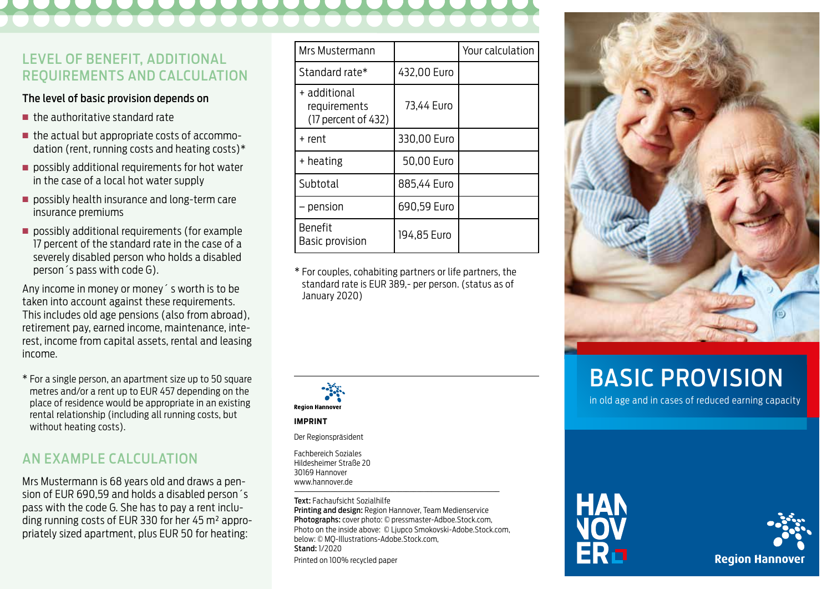# LEVEL OF BENEFIT, ADDITIONAL REQUIREMENTS AND CALCULATION

### The level of basic provision depends on

- n the authoritative standard rate
- $\blacksquare$  the actual but appropriate costs of accommodation (rent, running costs and heating costs)\*
- $\blacksquare$  possibly additional requirements for hot water in the case of a local hot water supply
- $\blacksquare$  possibly health insurance and long-term care insurance premiums
- $\blacksquare$  possibly additional requirements (for example 17 percent of the standard rate in the case of a severely disabled person who holds a disabled person´s pass with code G).

Any income in money or money´ s worth is to be taken into account against these requirements. This includes old age pensions (also from abroad), retirement pay, earned income, maintenance, interest, income from capital assets, rental and leasing income.

\* For a single person, an apartment size up to 50 square metres and/or a rent up to EUR 457 depending on the place of residence would be appropriate in an existing rental relationship (including all running costs, but without heating costs).

# AN EXAMPLE CALCULATION

Mrs Mustermann is 68 years old and draws a pension of EUR 690,59 and holds a disabled person´s pass with the code G. She has to pay a rent including running costs of EUR 330 for her 45 m² appropriately sized apartment, plus EUR 50 for heating:

| Mrs Mustermann                                      |             | Your calculation |
|-----------------------------------------------------|-------------|------------------|
| Standard rate*                                      | 432,00 Euro |                  |
| + additional<br>requirements<br>(17 percent of 432) | 73,44 Euro  |                  |
| + rent                                              | 330,00 Euro |                  |
| + heating                                           | 50,00 Euro  |                  |
| Subtotal                                            | 885,44 Euro |                  |
| - pension                                           | 690,59 Euro |                  |
| <b>Benefit</b><br>Basic provision                   | 194,85 Euro |                  |

\* For couples, cohabiting partners or life partners, the standard rate is EUR 389,- per person. (status as of January 2020)



#### **IMPRINT**

Der Regionspräsident

Fachbereich Soziales Hildesheimer Straße 20 30169 Hannover www.hannover.de

––––––––––––––––––––––––––––––––––––––––––––––––––––––––– Text: Fachaufsicht Sozialhilfe Printing and design: Region Hannover, Team Medienservice Photographs: cover photo: © pressmaster-Adboe.Stock.com, Photo on the inside above: © Ljupco Smokovski-Adobe.Stock.com, below: © MQ-Illustrations-Adobe.Stock.com, Stand: 1/2020 Printed on 100% recycled paper



# BASIC PROVISION

in old age and in cases of reduced earning capacity